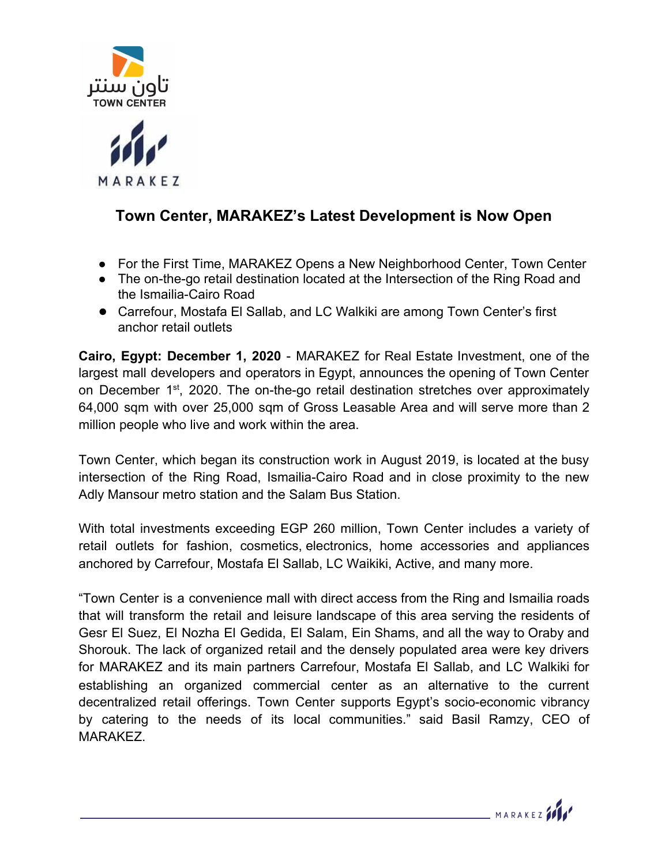



## **Town Center, MARAKEZ's Latest Development is Now Open**

- For the First Time, MARAKEZ Opens a New Neighborhood Center, Town Center
- The on-the-go retail destination located at the Intersection of the Ring Road and the Ismailia-Cairo Road
- **●** Carrefour, Mostafa El Sallab, and LC Walkiki are among Town Center's first anchor retail outlets

**Cairo, Egypt: December 1, 2020** - MARAKEZ for Real Estate Investment, one of the largest mall developers and operators in Egypt, announces the opening of Town Center on December 1<sup>st</sup>, 2020. The on-the-go retail destination stretches over approximately 64,000 sqm with over 25,000 sqm of Gross Leasable Area and will serve more than 2 million people who live and work within the area.

Town Center, which began its construction work in August 2019, is located at the busy intersection of the Ring Road, Ismailia-Cairo Road and in close proximity to the new Adly Mansour metro station and the Salam Bus Station.

With total investments exceeding EGP 260 million, Town Center includes a variety of retail outlets for fashion, cosmetics, electronics, home accessories and appliances anchored by Carrefour, Mostafa El Sallab, LC Waikiki, Active, and many more.

"Town Center is a convenience mall with direct access from the Ring and Ismailia roads that will transform the retail and leisure landscape of this area serving the residents of Gesr El Suez, El Nozha El Gedida, El Salam, Ein Shams, and all the way to Oraby and Shorouk. The lack of organized retail and the densely populated area were key drivers for MARAKEZ and its main partners Carrefour, Mostafa El Sallab, and LC Walkiki for establishing an organized commercial center as an alternative to the current decentralized retail offerings. Town Center supports Egypt's socio-economic vibrancy by catering to the needs of its local communities." said Basil Ramzy, CEO of MARAKEZ.